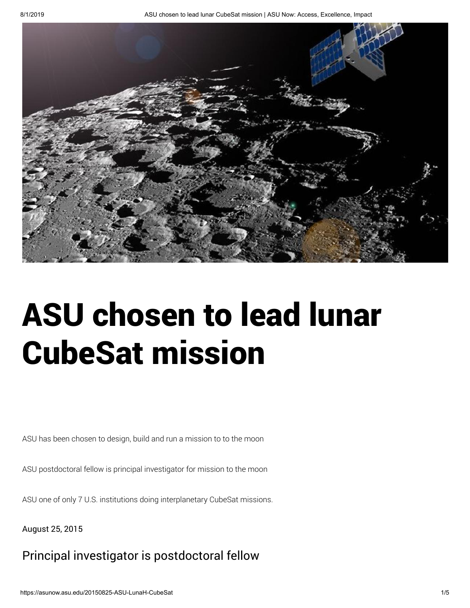

# ASU chosen to lead lunar CubeSat mission

ASU has been chosen to design, build and run a mission to to the moon

ASU postdoctoral fellow is principal investigator for mission to the moon

ASU one of only 7 U.S. institutions doing interplanetary CubeSat missions.

August 25, 2015

# Principal investigator is postdoctoral fellow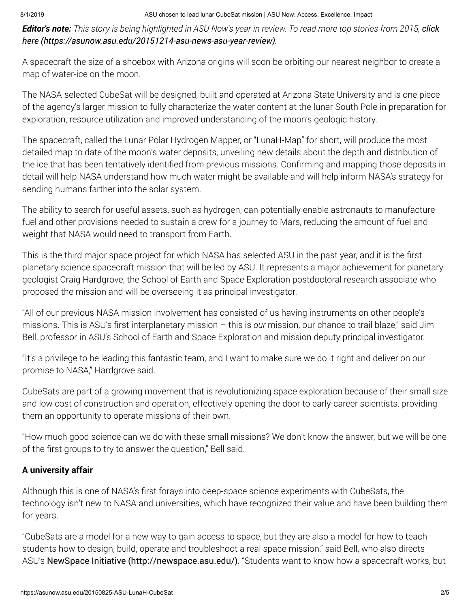**Editor's note:** [This story is being highlighted in ASU Now's year in review. To read more top stories from 2015,](https://asunow.asu.edu/20151214-asu-news-asu-year-review) click here (https://asunow.asu.edu/20151214-asu-news-asu-year-review).

A spacecraft the size of a shoebox with Arizona origins will soon be orbiting our nearest neighbor to create a map of water-ice on the moon.

The NASA-selected CubeSat will be designed, built and operated at Arizona State University and is one piece of the agency's larger mission to fully characterize the water content at the lunar South Pole in preparation for exploration, resource utilization and improved understanding of the moon's geologic history.

The spacecraft, called the Lunar Polar Hydrogen Mapper, or "LunaH-Map" for short, will produce the most detailed map to date of the moon's water deposits, unveiling new details about the depth and distribution of the ice that has been tentatively identified from previous missions. Confirming and mapping those deposits in detail will help NASA understand how much water might be available and will help inform NASA's strategy for sending humans farther into the solar system.

The ability to search for useful assets, such as hydrogen, can potentially enable astronauts to manufacture fuel and other provisions needed to sustain a crew for a journey to Mars, reducing the amount of fuel and weight that NASA would need to transport from Earth.

This is the third major space project for which NASA has selected ASU in the past year, and it is the first planetary science spacecraft mission that will be led by ASU. It represents a major achievement for planetary geologist Craig Hardgrove, the School of Earth and Space Exploration postdoctoral research associate who proposed the mission and will be overseeing it as principal investigator.

"All of our previous NASA mission involvement has consisted of us having instruments on other people's missions. This is ASU's first interplanetary mission – this is our mission, our chance to trail blaze," said Jim Bell, professor in ASU's School of Earth and Space Exploration and mission deputy principal investigator.

"It's a privilege to be leading this fantastic team, and I want to make sure we do it right and deliver on our promise to NASA," Hardgrove said.

CubeSats are part of a growing movement that is revolutionizing space exploration because of their small size and low cost of construction and operation, effectively opening the door to early-career scientists, providing them an opportunity to operate missions of their own.

"How much good science can we do with these small missions? We don't know the answer, but we will be one of the first groups to try to answer the question," Bell said.

# A university affair

Although this is one of NASA's first forays into deep-space science experiments with CubeSats, the technology isn't new to NASA and universities, which have recognized their value and have been building them for years.

"CubeSats are a model for a new way to gain access to space, but they are also a model for how to teach students how to design, build, operate and troubleshoot a real space mission," said Bell, who also directs ASU's [NewSpace Initiative \(http://newspace.asu.edu/\)](http://newspace.asu.edu/). "Students want to know how a spacecraft works, but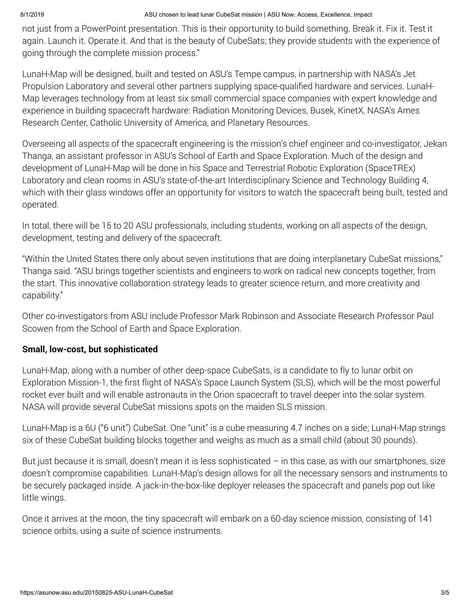not just from a PowerPoint presentation. This is their opportunity to build something. Break it. Fix it. Test it again. Launch it. Operate it. And that is the beauty of CubeSats; they provide students with the experience of going through the complete mission process."

LunaH-Map will be designed, built and tested on ASU's Tempe campus, in partnership with NASA's Jet Propulsion Laboratory and several other partners supplying space-qualified hardware and services. LunaH-Map leverages technology from at least six small commercial space companies with expert knowledge and experience in building spacecraft hardware: Radiation Monitoring Devices, Busek, KinetX, NASA's Ames Research Center, Catholic University of America, and Planetary Resources.

Overseeing all aspects of the spacecraft engineering is the mission's chief engineer and co-investigator, Jekan Thanga, an assistant professor in ASU's School of Earth and Space Exploration. Much of the design and development of LunaH-Map will be done in his Space and Terrestrial Robotic Exploration (SpaceTREx) Laboratory and clean rooms in ASU's state-of-the-art Interdisciplinary Science and Technology Building 4, which with their glass windows offer an opportunity for visitors to watch the spacecraft being built, tested and operated.

In total, there will be 15 to 20 ASU professionals, including students, working on all aspects of the design, development, testing and delivery of the spacecraft.

"Within the United States there only about seven institutions that are doing interplanetary CubeSat missions," Thanga said. "ASU brings together scientists and engineers to work on radical new concepts together, from the start. This innovative collaboration strategy leads to greater science return, and more creativity and capability."

Other co-investigators from ASU include Professor Mark Robinson and Associate Research Professor Paul Scowen from the School of Earth and Space Exploration.

# Small, low-cost, but sophisticated

LunaH-Map, along with a number of other deep-space CubeSats, is a candidate to fly to lunar orbit on Exploration Mission-1, the first flight of NASA's Space Launch System (SLS), which will be the most powerful rocket ever built and will enable astronauts in the Orion spacecraft to travel deeper into the solar system. NASA will provide several CubeSat missions spots on the maiden SLS mission.

LunaH-Map is a 6U ("6 unit") CubeSat. One "unit" is a cube measuring 4.7 inches on a side; LunaH-Map strings six of these CubeSat building blocks together and weighs as much as a small child (about 30 pounds).

But just because it is small, doesn't mean it is less sophisticated – in this case, as with our smartphones, size doesn't compromise capabilities. LunaH-Map's design allows for all the necessary sensors and instruments to be securely packaged inside. A jack-in-the-box-like deployer releases the spacecraft and panels pop out like little wings.

Once it arrives at the moon, the tiny spacecraft will embark on a 60-day science mission, consisting of 141 science orbits, using a suite of science instruments.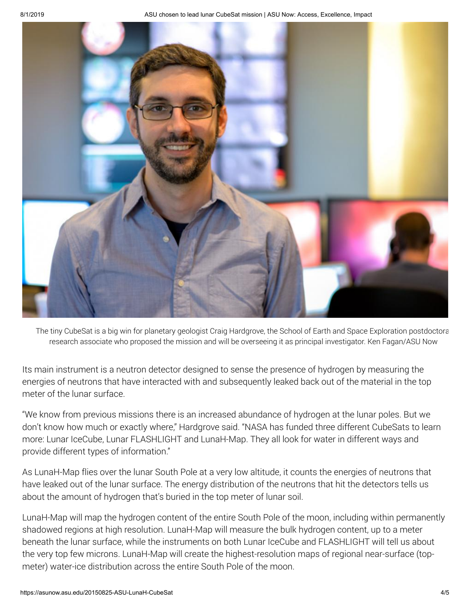

The tiny CubeSat is a big win for planetary geologist Craig Hardgrove, the School of Earth and Space Exploration postdoctora research associate who proposed the mission and will be overseeing it as principal investigator. Ken Fagan/ASU Now

Its main instrument is a neutron detector designed to sense the presence of hydrogen by measuring the energies of neutrons that have interacted with and subsequently leaked back out of the material in the top meter of the lunar surface.

"We know from previous missions there is an increased abundance of hydrogen at the lunar poles. But we don't know how much or exactly where," Hardgrove said. "NASA has funded three different CubeSats to learn more: Lunar IceCube, Lunar FLASHLIGHT and LunaH-Map. They all look for water in different ways and provide different types of information."

As LunaH-Map flies over the lunar South Pole at a very low altitude, it counts the energies of neutrons that have leaked out of the lunar surface. The energy distribution of the neutrons that hit the detectors tells us about the amount of hydrogen that's buried in the top meter of lunar soil.

LunaH-Map will map the hydrogen content of the entire South Pole of the moon, including within permanently shadowed regions at high resolution. LunaH-Map will measure the bulk hydrogen content, up to a meter beneath the lunar surface, while the instruments on both Lunar IceCube and FLASHLIGHT will tell us about the very top few microns. LunaH-Map will create the highest-resolution maps of regional near-surface (topmeter) water-ice distribution across the entire South Pole of the moon.